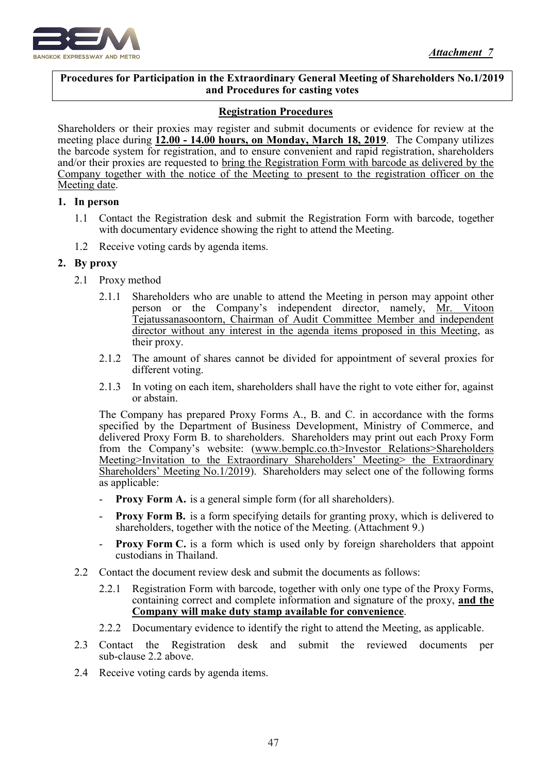

#### $\overline{a}$ **Procedures for Participation in the Extraordinary General Meeting of Shareholders No.1/2019 and Procedures for casting votes**

## **Registration Procedures**

Shareholders or their proxies may register and submit documents or evidence for review at the meeting place during **12.00 - 14.00 hours, on Monday, March 18, 2019**. The Company utilizes the barcode system for registration, and to ensure convenient and rapid registration, shareholders and/or their proxies are requested to bring the Registration Form with barcode as delivered by the Company together with the notice of the Meeting to present to the registration officer on the Meeting date.

### **1. In person**

- 1.1 Contact the Registration desk and submit the Registration Form with barcode, together with documentary evidence showing the right to attend the Meeting.
- 1.2 Receive voting cards by agenda items.

## **2. By proxy**

- 2.1 Proxy method
	- 2.1.1 Shareholders who are unable to attend the Meeting in person may appoint other person or the Company's independent director, namely, Mr. Vitoon Tejatussanasoontorn, Chairman of Audit Committee Member and independent director without any interest in the agenda items proposed in this Meeting, as their proxy.
	- 2.1.2 The amount of shares cannot be divided for appointment of several proxies for different voting.
	- 2.1.3 In voting on each item, shareholders shall have the right to vote either for, against or abstain.

The Company has prepared Proxy Forms A., B. and C. in accordance with the forms specified by the Department of Business Development, Ministry of Commerce, and delivered Proxy Form B. to shareholders. Shareholders may print out each Proxy Form from the Company's website: (www.bemplc.co.th>Investor Relations>Shareholders Meeting>Invitation to the Extraordinary Shareholders' Meeting> the Extraordinary Shareholders' Meeting No.1/2019). Shareholders may select one of the following forms as applicable:

- **Proxy Form A.** is a general simple form (for all shareholders).
- **Proxy Form B.** is a form specifying details for granting proxy, which is delivered to shareholders, together with the notice of the Meeting. (Attachment 9.)
- **Proxy Form C.** is a form which is used only by foreign shareholders that appoint custodians in Thailand.
- 2.2 Contact the document review desk and submit the documents as follows:
	- 2.2.1 Registration Form with barcode, together with only one type of the Proxy Forms, containing correct and complete information and signature of the proxy, **and the Company will make duty stamp available for convenience**.
	- 2.2.2 Documentary evidence to identify the right to attend the Meeting, as applicable.
- 2.3 Contact the Registration desk and submit the reviewed documents per sub-clause 2.2 above.
- 2.4 Receive voting cards by agenda items.